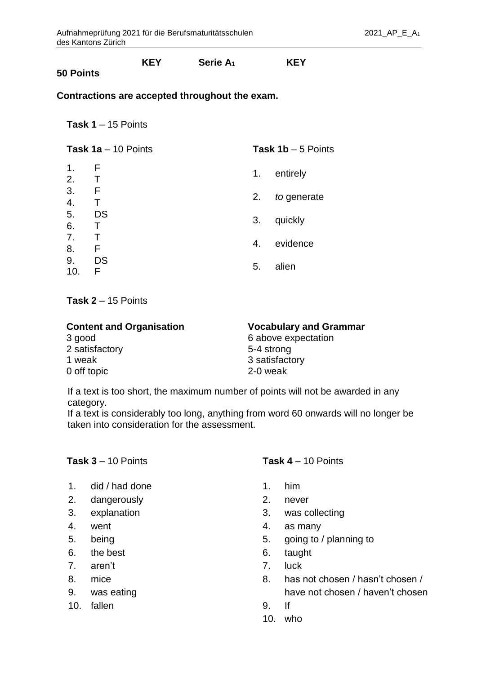## **KEY Serie A<sup>1</sup> KEY**

## **50 Points**

#### **Contractions are accepted throughout the exam.**

**Task 1** – 15 Points

| Task $1a - 10$ Points |                | Task $1b - 5$ Points |             |
|-----------------------|----------------|----------------------|-------------|
| 1.<br>2.              | F<br>$\top$    | 1.                   | entirely    |
| 3.<br>4.              | F<br>Т         | 2.                   | to generate |
| 5.<br>6.              | <b>DS</b><br>Τ | 3.                   | quickly     |
| 7.<br>8.              | F              | 4.                   | evidence    |
| 9.<br>10.             | DS<br>F        | 5.                   | alien       |
|                       |                |                      |             |

**Task 2** – 15 Points

| <b>Content and Organisation</b> | <b>Vocabulary and Grammar</b> |
|---------------------------------|-------------------------------|
| 3 good                          | 6 above expectation           |
| 2 satisfactory                  | 5-4 strong                    |
| 1 weak                          | 3 satisfactory                |
| 0 off topic                     | 2-0 weak                      |

If a text is too short, the maximum number of points will not be awarded in any category.

If a text is considerably too long, anything from word 60 onwards will no longer be taken into consideration for the assessment.

### **Task 3** – 10 Points

- 1. did / had done
- 2. dangerously
- 3. explanation
- 4. went
- 5. being
- 6. the best
- 7. aren't
- 8. mice
- 9. was eating
- 10. fallen

### **Task 4** – 10 Points

- 1. him
- 2. never
- 3. was collecting
- 4. as many
- 5. going to / planning to
- 6. taught
- 7. luck
- 8. has not chosen / hasn't chosen / have not chosen / haven't chosen
- 9. If
- 10. who